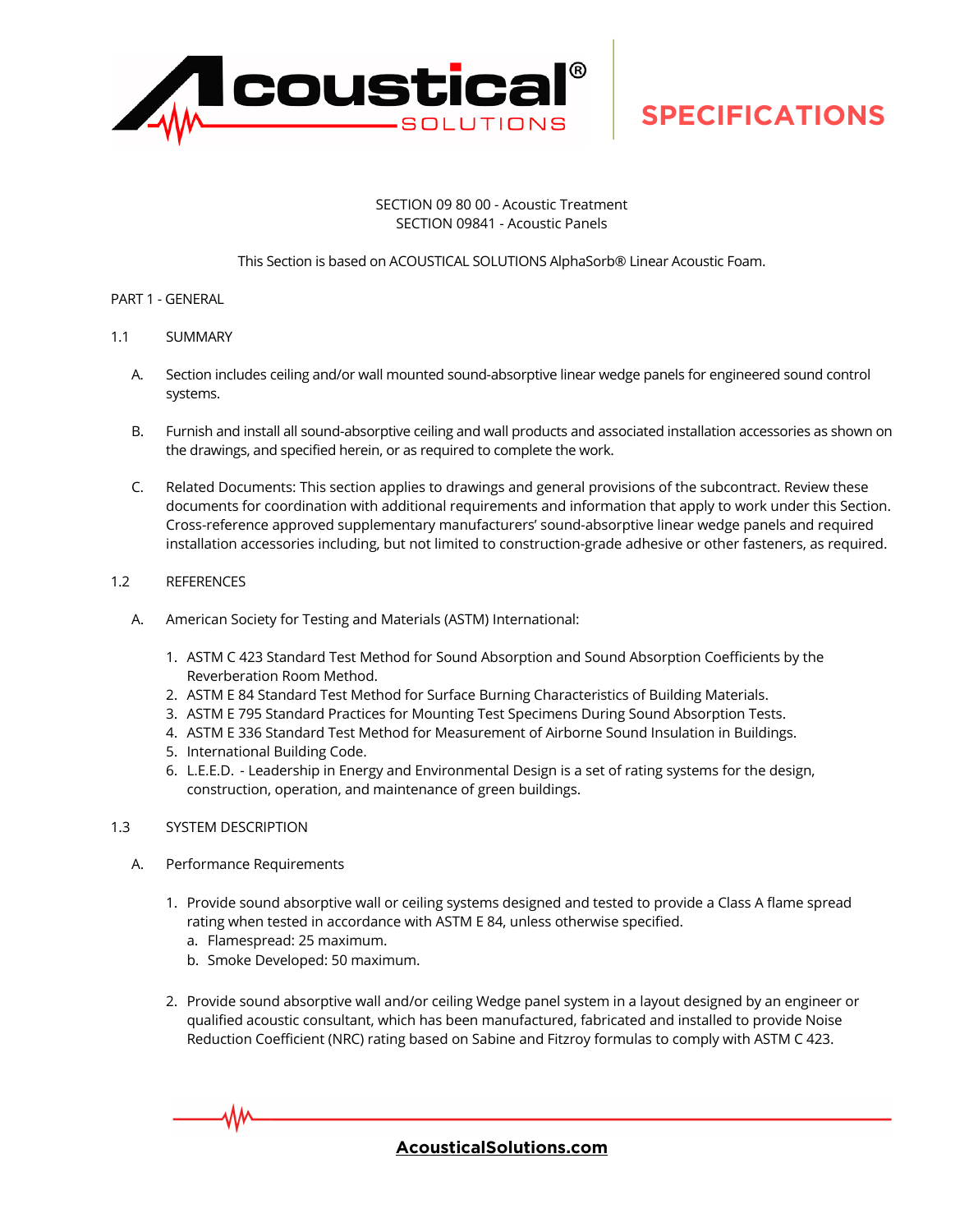

#### SECTION 09 80 00 - Acoustic Treatment SECTION 09841 - Acoustic Panels

#### This Section is based on ACOUSTICAL SOLUTIONS AlphaSorb® Linear Acoustic Foam.

#### PART 1 - GENERAL

- 1.1 SUMMARY
	- A. Section includes ceiling and/or wall mounted sound-absorptive linear wedge panels for engineered sound control systems.
	- B. Furnish and install all sound-absorptive ceiling and wall products and associated installation accessories as shown on the drawings, and specified herein, or as required to complete the work.
	- C. Related Documents: This section applies to drawings and general provisions of the subcontract. Review these documents for coordination with additional requirements and information that apply to work under this Section. Cross-reference approved supplementary manufacturers' sound-absorptive linear wedge panels and required installation accessories including, but not limited to construction-grade adhesive or other fasteners, as required.

#### 1.2 REFERENCES

- A. American Society for Testing and Materials (ASTM) International:
	- 1. ASTM C 423 Standard Test Method for Sound Absorption and Sound Absorption Coefficients by the Reverberation Room Method.
	- 2. ASTM E 84 Standard Test Method for Surface Burning Characteristics of Building Materials.
	- 3. ASTM E 795 Standard Practices for Mounting Test Specimens During Sound Absorption Tests.
	- 4. ASTM E 336 Standard Test Method for Measurement of Airborne Sound Insulation in Buildings.
	- 5. International Building Code.
	- 6. L.E.E.D. Leadership in Energy and Environmental Design is a set of rating systems for the design, construction, operation, and maintenance of green buildings.

#### 1.3 SYSTEM DESCRIPTION

- A. Performance Requirements
	- 1. Provide sound absorptive wall or ceiling systems designed and tested to provide a Class A flame spread rating when tested in accordance with ASTM E 84, unless otherwise specified.
		- a. Flamespread: 25 maximum.
		- b. Smoke Developed: 50 maximum.
	- 2. Provide sound absorptive wall and/or ceiling Wedge panel system in a layout designed by an engineer or qualified acoustic consultant, which has been manufactured, fabricated and installed to provide Noise Reduction Coefficient (NRC) rating based on Sabine and Fitzroy formulas to comply with ASTM C 423.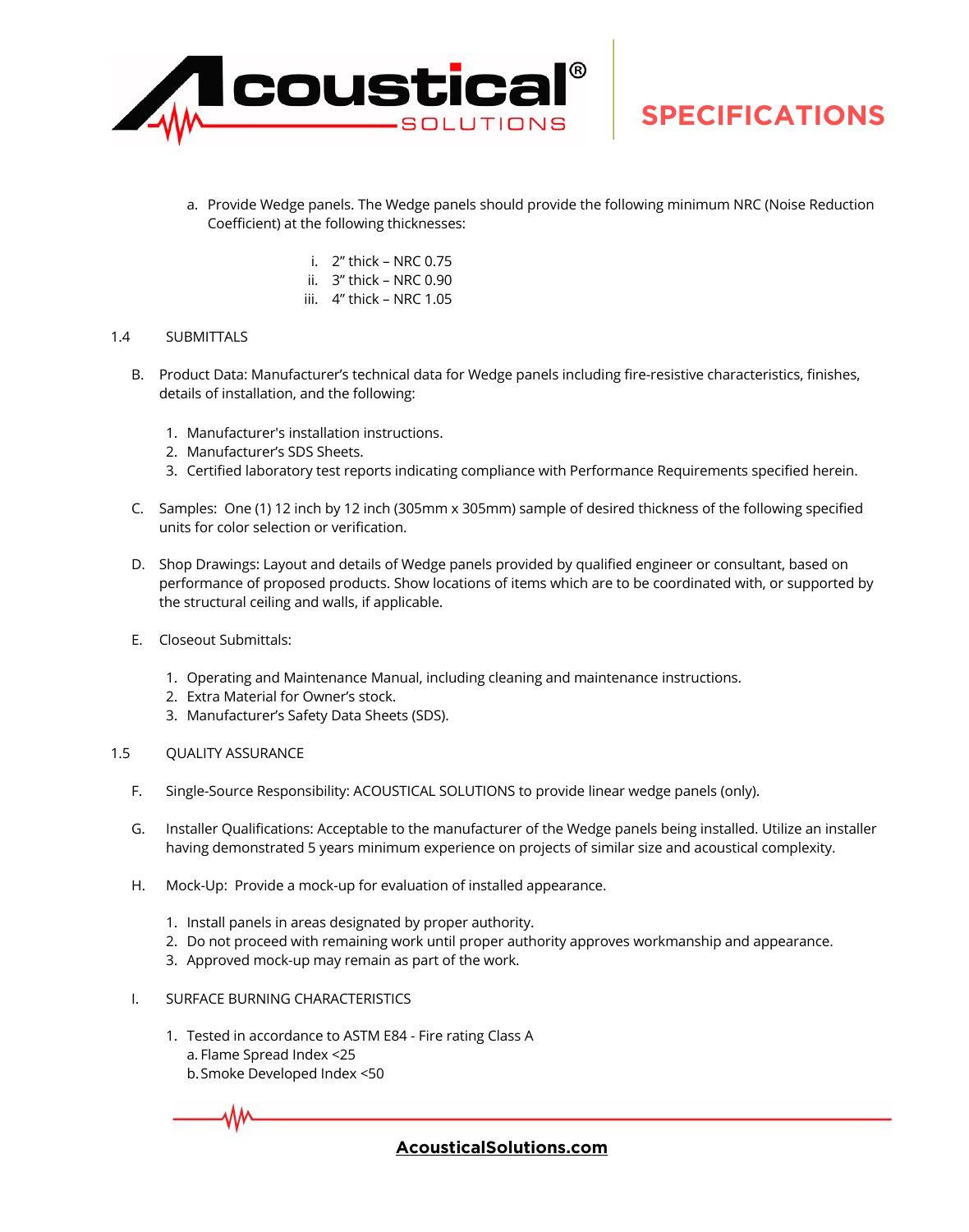

- a. Provide Wedge panels. The Wedge panels should provide the following minimum NRC (Noise Reduction Coefficient) at the following thicknesses:
	- i. 2" thick NRC 0.75
	- ii. 3" thick NRC 0.90
	- iii. 4" thick NRC 1.05

#### 1.4 SUBMITTALS

- B. Product Data: Manufacturer's technical data for Wedge panels including fire-resistive characteristics, finishes, details of installation, and the following:
	- 1. Manufacturer's installation instructions.
	- 2. Manufacturer's SDS Sheets.
	- 3. Certified laboratory test reports indicating compliance with Performance Requirements specified herein.
- C. Samples: One (1) 12 inch by 12 inch (305mm x 305mm) sample of desired thickness of the following specified units for color selection or verification.
- D. Shop Drawings: Layout and details of Wedge panels provided by qualified engineer or consultant, based on performance of proposed products. Show locations of items which are to be coordinated with, or supported by the structural ceiling and walls, if applicable.
- E. Closeout Submittals:
	- 1. Operating and Maintenance Manual, including cleaning and maintenance instructions.
	- 2. Extra Material for Owner's stock.
	- 3. Manufacturer's Safety Data Sheets (SDS).
- 1.5 QUALITY ASSURANCE
	- F. Single-Source Responsibility: ACOUSTICAL SOLUTIONS to provide linear wedge panels (only).
	- G. Installer Qualifications: Acceptable to the manufacturer of the Wedge panels being installed. Utilize an installer having demonstrated 5 years minimum experience on projects of similar size and acoustical complexity.
	- H. Mock-Up: Provide a mock-up for evaluation of installed appearance.
		- 1. Install panels in areas designated by proper authority.
		- 2. Do not proceed with remaining work until proper authority approves workmanship and appearance.
		- 3. Approved mock-up may remain as part of the work.
	- I. SURFACE BURNING CHARACTERISTICS
		- 1. Tested in accordance to ASTM E84 Fire rating Class A a. Flame Spread Index <25
			- b.Smoke Developed Index <50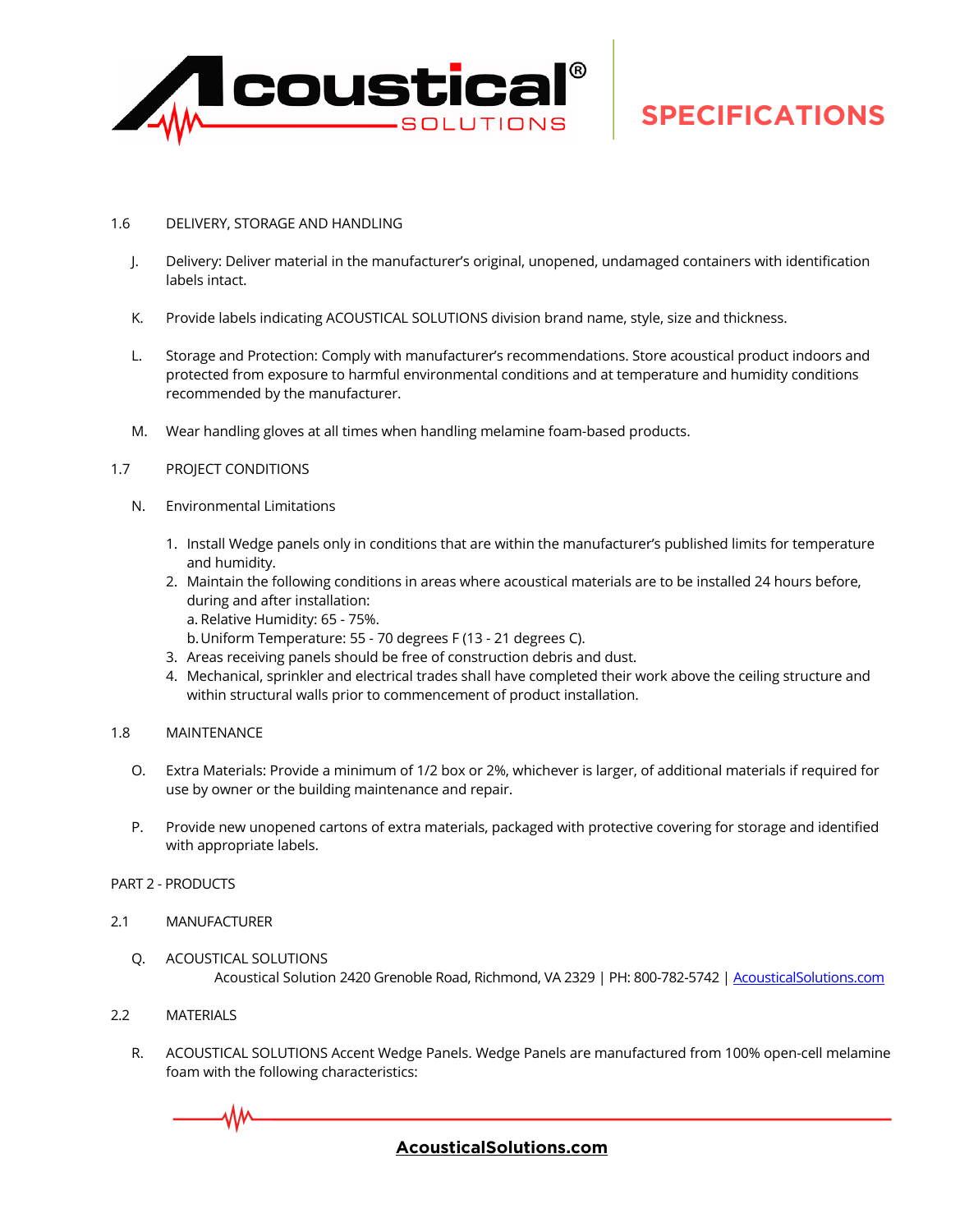

#### 1.6 DELIVERY, STORAGE AND HANDLING

- J. Delivery: Deliver material in the manufacturer's original, unopened, undamaged containers with identification labels intact.
- K. Provide labels indicating ACOUSTICAL SOLUTIONS division brand name, style, size and thickness.
- L. Storage and Protection: Comply with manufacturer's recommendations. Store acoustical product indoors and protected from exposure to harmful environmental conditions and at temperature and humidity conditions recommended by the manufacturer.
- M. Wear handling gloves at all times when handling melamine foam-based products.
- 1.7 PROJECT CONDITIONS
	- N. Environmental Limitations
		- 1. Install Wedge panels only in conditions that are within the manufacturer's published limits for temperature and humidity.
		- 2. Maintain the following conditions in areas where acoustical materials are to be installed 24 hours before, during and after installation:
			- a. Relative Humidity: 65 75%.
			- b.Uniform Temperature: 55 70 degrees F (13 21 degrees C).
		- 3. Areas receiving panels should be free of construction debris and dust.
		- 4. Mechanical, sprinkler and electrical trades shall have completed their work above the ceiling structure and within structural walls prior to commencement of product installation.
- 1.8 MAINTENANCE
	- O. Extra Materials: Provide a minimum of 1/2 box or 2%, whichever is larger, of additional materials if required for use by owner or the building maintenance and repair.
	- P. Provide new unopened cartons of extra materials, packaged with protective covering for storage and identified with appropriate labels.
- PART 2 PRODUCTS
- 2.1 MANUFACTURER
	- Q. ACOUSTICAL SOLUTIONS Acoustical Solution 2420 Grenoble Road, Richmond, VA 2329 | PH: 800-782-5742 | AcousticalSolutions.com
- 2.2 MATERIALS

₩

R. ACOUSTICAL SOLUTIONS Accent Wedge Panels. Wedge Panels are manufactured from 100% open-cell melamine foam with the following characteristics: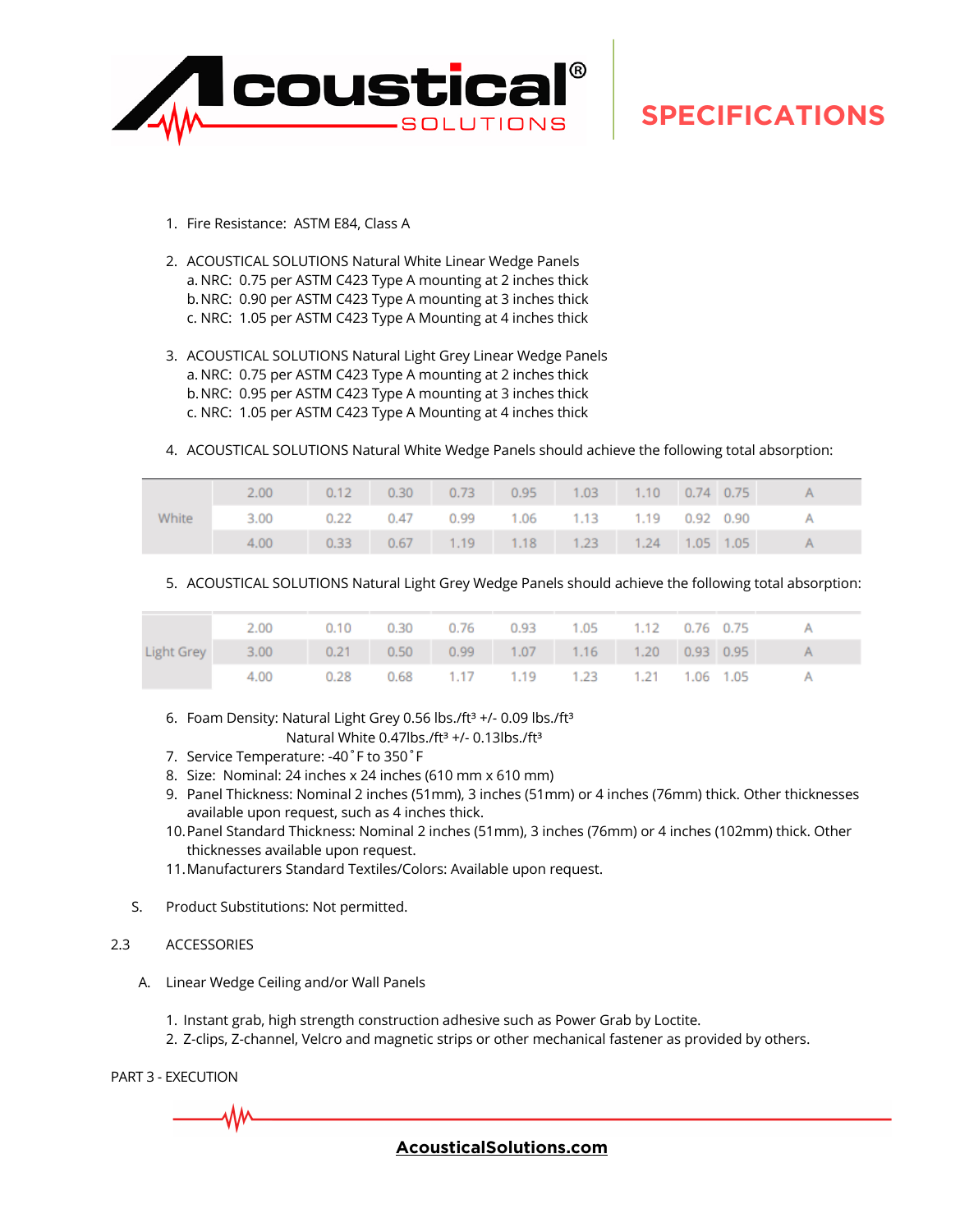

- 1. Fire Resistance: ASTM E84, Class A
- 2. ACOUSTICAL SOLUTIONS Natural White Linear Wedge Panels a. NRC: 0.75 per ASTM C423 Type A mounting at 2 inches thick b.NRC: 0.90 per ASTM C423 Type A mounting at 3 inches thick c. NRC: 1.05 per ASTM C423 Type A Mounting at 4 inches thick
- 3. ACOUSTICAL SOLUTIONS Natural Light Grey Linear Wedge Panels a. NRC: 0.75 per ASTM C423 Type A mounting at 2 inches thick b.NRC: 0.95 per ASTM C423 Type A mounting at 3 inches thick c. NRC: 1.05 per ASTM C423 Type A Mounting at 4 inches thick
- 4. ACOUSTICAL SOLUTIONS Natural White Wedge Panels should achieve the following total absorption:

| White |                                                         |  |  |  |  | 2.00 0.12 0.30 0.73 0.95 1.03 1.10 0.74 0.75 A |
|-------|---------------------------------------------------------|--|--|--|--|------------------------------------------------|
|       | 3.00  0.22  0.47  0.99  1.06  1.13  1.19  0.92  0.90  A |  |  |  |  |                                                |
|       |                                                         |  |  |  |  | 4.00 0.33 0.67 1.19 1.18 1.23 1.24 1.05 1.05 A |

5. ACOUSTICAL SOLUTIONS Natural Light Grey Wedge Panels should achieve the following total absorption:

|  | 2.00  0.10  0.30  0.76  0.93  1.05  1.12  0.76  0.75      |  |  |                                              |  |  |
|--|-----------------------------------------------------------|--|--|----------------------------------------------|--|--|
|  | Light Grey 3.00 0.21 0.50 0.99 1.07 1.16 1.20 0.93 0.95 A |  |  |                                              |  |  |
|  |                                                           |  |  | 4.00 0.28 0.68 1.17 1.19 1.23 1.21 1.06 1.05 |  |  |

- 6. Foam Density: Natural Light Grey 0.56 lbs./ft<sup>3</sup> +/- 0.09 lbs./ft<sup>3</sup> Natural White 0.47lbs./ft<sup>3</sup> +/- 0.13lbs./ft<sup>3</sup>
- 7. Service Temperature: -40˚F to 350˚F
- 8. Size: Nominal: 24 inches x 24 inches (610 mm x 610 mm)
- 9. Panel Thickness: Nominal 2 inches (51mm), 3 inches (51mm) or 4 inches (76mm) thick. Other thicknesses available upon request, such as 4 inches thick.
- 10.Panel Standard Thickness: Nominal 2 inches (51mm), 3 inches (76mm) or 4 inches (102mm) thick. Other thicknesses available upon request.
- 11.Manufacturers Standard Textiles/Colors: Available upon request.
- S. Product Substitutions: Not permitted.

#### 2.3 ACCESSORIES

- A. Linear Wedge Ceiling and/or Wall Panels
	- 1. Instant grab, high strength construction adhesive such as Power Grab by Loctite.
	- 2. Z-clips, Z-channel, Velcro and magnetic strips or other mechanical fastener as provided by others.

PART 3 - EXECUTION